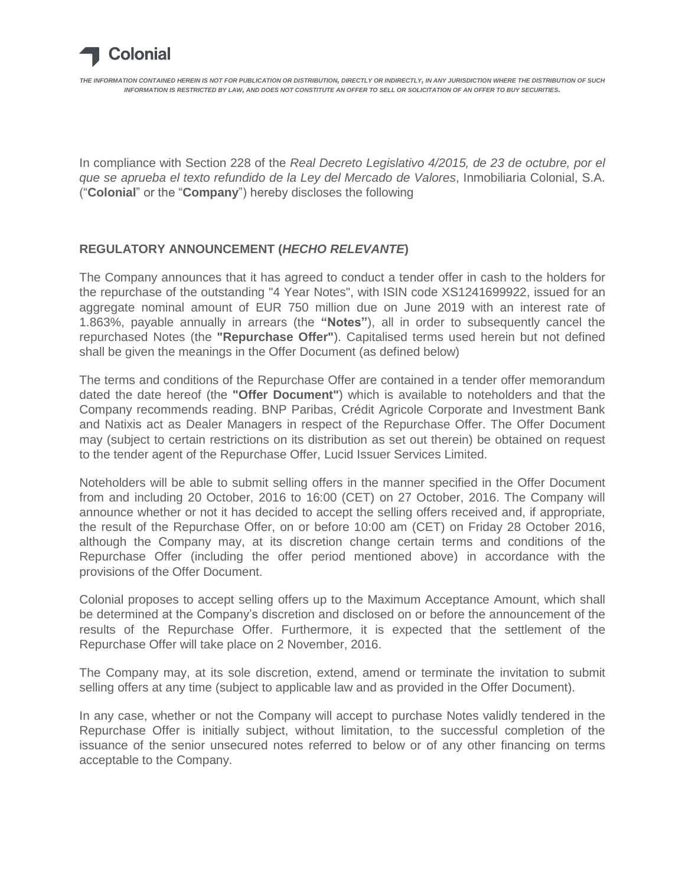

In compliance with Section 228 of the *Real Decreto Legislativo 4/2015, de 23 de octubre, por el que se aprueba el texto refundido de la Ley del Mercado de Valores*, Inmobiliaria Colonial, S.A. ("**Colonial**" or the "**Company**") hereby discloses the following

## **REGULATORY ANNOUNCEMENT (***HECHO RELEVANTE***)**

The Company announces that it has agreed to conduct a tender offer in cash to the holders for the repurchase of the outstanding "4 Year Notes", with ISIN code XS1241699922, issued for an aggregate nominal amount of EUR 750 million due on June 2019 with an interest rate of 1.863%, payable annually in arrears (the **"Notes"**), all in order to subsequently cancel the repurchased Notes (the **"Repurchase Offer"**). Capitalised terms used herein but not defined shall be given the meanings in the Offer Document (as defined below)

The terms and conditions of the Repurchase Offer are contained in a tender offer memorandum dated the date hereof (the **"Offer Document"**) which is available to noteholders and that the Company recommends reading. BNP Paribas, Crédit Agricole Corporate and Investment Bank and Natixis act as Dealer Managers in respect of the Repurchase Offer. The Offer Document may (subject to certain restrictions on its distribution as set out therein) be obtained on request to the tender agent of the Repurchase Offer, Lucid Issuer Services Limited.

Noteholders will be able to submit selling offers in the manner specified in the Offer Document from and including 20 October, 2016 to 16:00 (CET) on 27 October, 2016. The Company will announce whether or not it has decided to accept the selling offers received and, if appropriate, the result of the Repurchase Offer, on or before 10:00 am (CET) on Friday 28 October 2016, although the Company may, at its discretion change certain terms and conditions of the Repurchase Offer (including the offer period mentioned above) in accordance with the provisions of the Offer Document.

Colonial proposes to accept selling offers up to the Maximum Acceptance Amount, which shall be determined at the Company's discretion and disclosed on or before the announcement of the results of the Repurchase Offer. Furthermore, it is expected that the settlement of the Repurchase Offer will take place on 2 November, 2016.

The Company may, at its sole discretion, extend, amend or terminate the invitation to submit selling offers at any time (subject to applicable law and as provided in the Offer Document).

In any case, whether or not the Company will accept to purchase Notes validly tendered in the Repurchase Offer is initially subject, without limitation, to the successful completion of the issuance of the senior unsecured notes referred to below or of any other financing on terms acceptable to the Company.